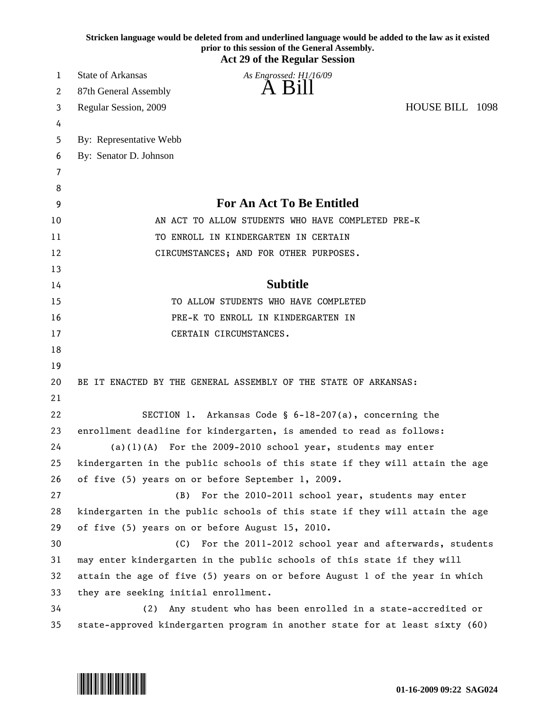|    | Stricken language would be deleted from and underlined language would be added to the law as it existed<br>prior to this session of the General Assembly.<br><b>Act 29 of the Regular Session</b> |
|----|---------------------------------------------------------------------------------------------------------------------------------------------------------------------------------------------------|
| 1  | <b>State of Arkansas</b><br>As Engrossed: H1/16/09                                                                                                                                                |
| 2  | A Bill<br>87th General Assembly                                                                                                                                                                   |
| 3  | HOUSE BILL 1098<br>Regular Session, 2009                                                                                                                                                          |
| 4  |                                                                                                                                                                                                   |
| 5  | By: Representative Webb                                                                                                                                                                           |
| 6  | By: Senator D. Johnson                                                                                                                                                                            |
| 7  |                                                                                                                                                                                                   |
| 8  |                                                                                                                                                                                                   |
| 9  | <b>For An Act To Be Entitled</b>                                                                                                                                                                  |
| 10 | AN ACT TO ALLOW STUDENTS WHO HAVE COMPLETED PRE-K                                                                                                                                                 |
| 11 | TO ENROLL IN KINDERGARTEN IN CERTAIN                                                                                                                                                              |
| 12 | CIRCUMSTANCES; AND FOR OTHER PURPOSES.                                                                                                                                                            |
| 13 |                                                                                                                                                                                                   |
| 14 | <b>Subtitle</b>                                                                                                                                                                                   |
| 15 | TO ALLOW STUDENTS WHO HAVE COMPLETED                                                                                                                                                              |
| 16 | PRE-K TO ENROLL IN KINDERGARTEN IN                                                                                                                                                                |
| 17 | CERTAIN CIRCUMSTANCES.                                                                                                                                                                            |
| 18 |                                                                                                                                                                                                   |
| 19 |                                                                                                                                                                                                   |
| 20 | BE IT ENACTED BY THE GENERAL ASSEMBLY OF THE STATE OF ARKANSAS:                                                                                                                                   |
| 21 |                                                                                                                                                                                                   |
| 22 | SECTION 1. Arkansas Code § 6-18-207(a), concerning the                                                                                                                                            |
| 23 | enrollment deadline for kindergarten, is amended to read as follows:                                                                                                                              |
| 24 | $(a)(1)(A)$ For the 2009-2010 school year, students may enter                                                                                                                                     |
| 25 | kindergarten in the public schools of this state if they will attain the age                                                                                                                      |
| 26 | of five (5) years on or before September 1, 2009.                                                                                                                                                 |
| 27 | (B)<br>For the 2010-2011 school year, students may enter                                                                                                                                          |
| 28 | kindergarten in the public schools of this state if they will attain the age                                                                                                                      |
| 29 | of five (5) years on or before August 15, 2010.                                                                                                                                                   |
| 30 | For the 2011-2012 school year and afterwards, students<br>(C)                                                                                                                                     |
| 31 | may enter kindergarten in the public schools of this state if they will                                                                                                                           |
| 32 | attain the age of five (5) years on or before August 1 of the year in which                                                                                                                       |
| 33 | they are seeking initial enrollment.                                                                                                                                                              |
| 34 | Any student who has been enrolled in a state-accredited or<br>(2)                                                                                                                                 |
| 35 | state-approved kindergarten program in another state for at least sixty (60)                                                                                                                      |

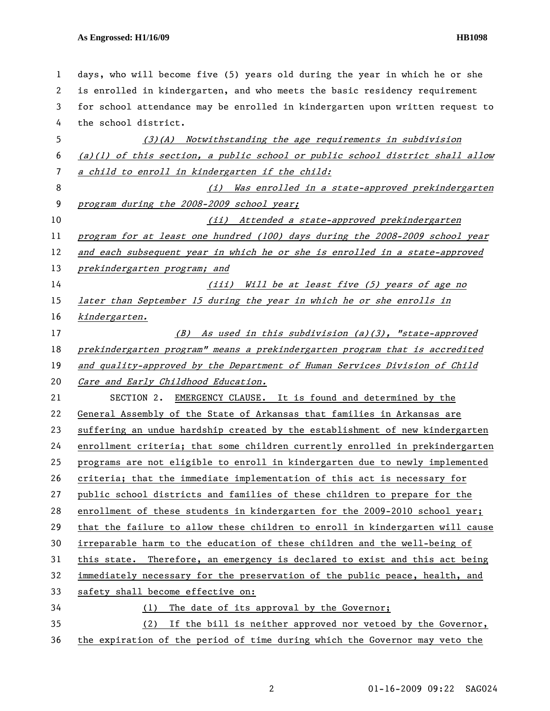## **As Engrossed: H1/16/09 HB1098**

| 1  | days, who will become five (5) years old during the year in which he or she     |
|----|---------------------------------------------------------------------------------|
| 2  | is enrolled in kindergarten, and who meets the basic residency requirement      |
| 3  | for school attendance may be enrolled in kindergarten upon written request to   |
| 4  | the school district.                                                            |
| 5  | (3)(A) Notwithstanding the age requirements in subdivision                      |
| 6  | $(a)(1)$ of this section, a public school or public school district shall allow |
| 7  | a child to enroll in kindergarten if the child:                                 |
| 8  | Was enrolled in a state-approved prekindergarten<br>(i)                         |
| 9  | program during the 2008-2009 school year;                                       |
| 10 | (ii) Attended a state-approved prekindergarten                                  |
| 11 | program for at least one hundred (100) days during the 2008-2009 school year    |
| 12 | and each subsequent year in which he or she is enrolled in a state-approved     |
| 13 | prekindergarten program; and                                                    |
| 14 | (iii) Will be at least five (5) years of age no                                 |
| 15 | later than September 15 during the year in which he or she enrolls in           |
| 16 | kindergarten.                                                                   |
| 17 | (B) As used in this subdivision (a)(3), "state-approved                         |
| 18 | prekindergarten program" means a prekindergarten program that is accredited     |
| 19 | and quality-approved by the Department of Human Services Division of Child      |
| 20 | Care and Early Childhood Education.                                             |
| 21 | SECTION 2. EMERGENCY CLAUSE. It is found and determined by the                  |
| 22 | General Assembly of the State of Arkansas that families in Arkansas are         |
| 23 | suffering an undue hardship created by the establishment of new kindergarten    |
| 24 | enrollment criteria; that some children currently enrolled in prekindergarten   |
| 25 | programs are not eligible to enroll in kindergarten due to newly implemented    |
| 26 | criteria; that the immediate implementation of this act is necessary for        |
| 27 | public school districts and families of these children to prepare for the       |
| 28 | enrollment of these students in kindergarten for the 2009-2010 school year;     |
| 29 | that the failure to allow these children to enroll in kindergarten will cause   |
| 30 | irreparable harm to the education of these children and the well-being of       |
| 31 | this state. Therefore, an emergency is declared to exist and this act being     |
| 32 | immediately necessary for the preservation of the public peace, health, and     |
| 33 | safety shall become effective on:                                               |
| 34 | The date of its approval by the Governor;<br>(1)                                |
| 35 | If the bill is neither approved nor vetoed by the Governor,<br>(2)              |
| 36 | the expiration of the period of time during which the Governor may veto the     |